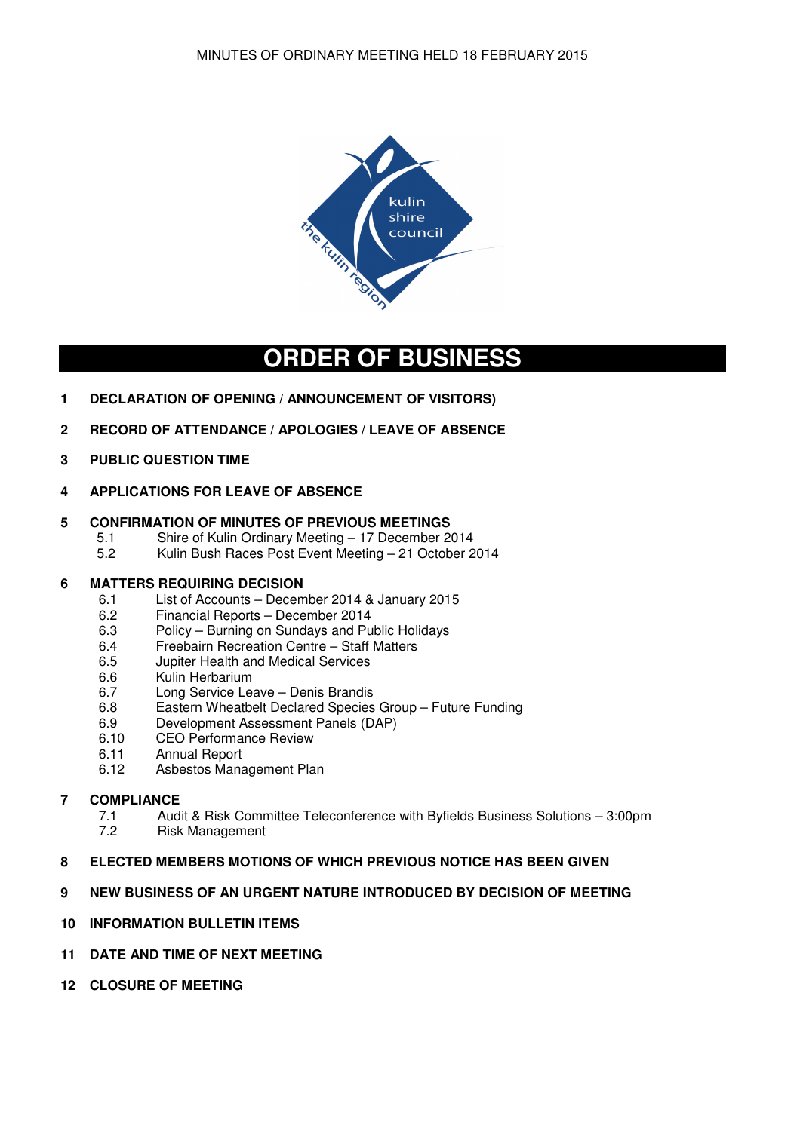

# **ORDER OF BUSINESS**

- **1 DECLARATION OF OPENING / ANNOUNCEMENT OF VISITORS)**
- **2 RECORD OF ATTENDANCE / APOLOGIES / LEAVE OF ABSENCE**
- **3 PUBLIC QUESTION TIME**
- **4 APPLICATIONS FOR LEAVE OF ABSENCE**

# **5 CONFIRMATION OF MINUTES OF PREVIOUS MEETINGS**

- 5.1 Shire of Kulin Ordinary Meeting 17 December 2014<br>5.2 Kulin Bush Races Post Event Meeting 21 October 2
- 5.2 Kulin Bush Races Post Event Meeting 21 October 2014

# **6 MATTERS REQUIRING DECISION**

- 6.1 List of Accounts December 2014 & January 2015
- 6.2 Financial Reports December 2014
- 6.3 Policy Burning on Sundays and Public Holidays
- 6.4 Freebairn Recreation Centre Staff Matters<br>6.5 Jupiter Health and Medical Services
- 6.5 Jupiter Health and Medical Services
- 6.6 Kulin Herbarium
- 6.7 Long Service Leave Denis Brandis
- 6.8 Eastern Wheatbelt Declared Species Group Future Funding
- 6.9 Development Assessment Panels (DAP)
- 6.10 CEO Performance Review
- 6.11 Annual Report
- 6.12 Asbestos Management Plan

# **7 COMPLIANCE**<br> **7.1 Aud**

- 7.1 Audit & Risk Committee Teleconference with Byfields Business Solutions 3:00pm<br>7.2 Risk Management
- Risk Management

# **8 ELECTED MEMBERS MOTIONS OF WHICH PREVIOUS NOTICE HAS BEEN GIVEN**

- **9 NEW BUSINESS OF AN URGENT NATURE INTRODUCED BY DECISION OF MEETING**
- **10 INFORMATION BULLETIN ITEMS**
- **11 DATE AND TIME OF NEXT MEETING**
- **12 CLOSURE OF MEETING**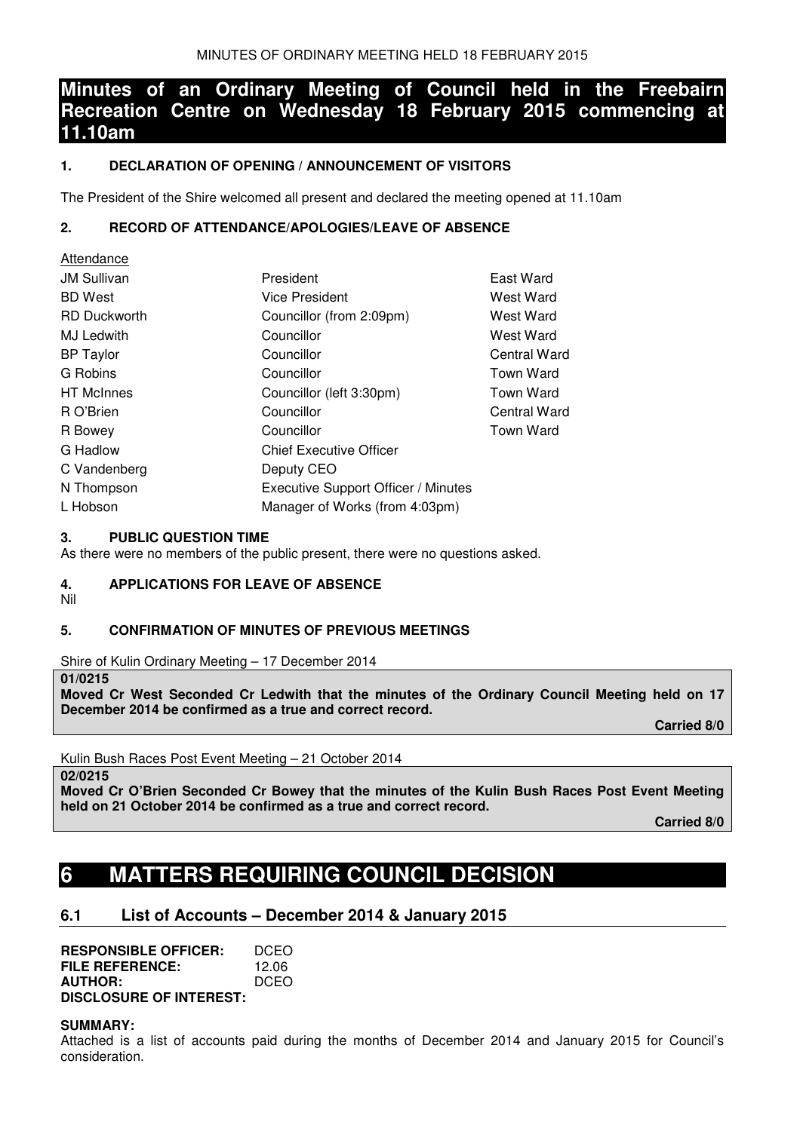# **Minutes of an Ordinary Meeting of Council held in the Freebairn Recreation Centre on Wednesday 18 February 2015 commencing at 11.10am**

# **1. DECLARATION OF OPENING / ANNOUNCEMENT OF VISITORS**

The President of the Shire welcomed all present and declared the meeting opened at 11.10am

# **2. RECORD OF ATTENDANCE/APOLOGIES/LEAVE OF ABSENCE**

| Attendance          |                                     |                  |
|---------------------|-------------------------------------|------------------|
| <b>JM Sullivan</b>  | President                           | East Ward        |
| <b>BD</b> West      | <b>Vice President</b>               | West Ward        |
| <b>RD Duckworth</b> | Councillor (from 2:09pm)            | West Ward        |
| MJ Ledwith          | Councillor                          | West Ward        |
| <b>BP</b> Taylor    | Councillor                          | Central Ward     |
| G Robins            | Councillor                          | <b>Town Ward</b> |
| <b>HT</b> McInnes   | Councillor (left 3:30pm)            | <b>Town Ward</b> |
| R O'Brien           | Councillor                          | Central Ward     |
| R Bowey             | Councillor                          | Town Ward        |
| G Hadlow            | <b>Chief Executive Officer</b>      |                  |
| C Vandenberg        | Deputy CEO                          |                  |
| N Thompson          | Executive Support Officer / Minutes |                  |
| L Hobson            | Manager of Works (from 4:03pm)      |                  |

# **3. PUBLIC QUESTION TIME**

As there were no members of the public present, there were no questions asked.

# **4. APPLICATIONS FOR LEAVE OF ABSENCE**

Nil

# **5. CONFIRMATION OF MINUTES OF PREVIOUS MEETINGS**

Shire of Kulin Ordinary Meeting – 17 December 2014

#### **01/0215**

**Moved Cr West Seconded Cr Ledwith that the minutes of the Ordinary Council Meeting held on 17 December 2014 be confirmed as a true and correct record.** 

 **Carried 8/0** 

Kulin Bush Races Post Event Meeting – 21 October 2014

#### **02/0215**

**Moved Cr O'Brien Seconded Cr Bowey that the minutes of the Kulin Bush Races Post Event Meeting held on 21 October 2014 be confirmed as a true and correct record.** 

 **Carried 8/0** 

# **6 MATTERS REQUIRING COUNCIL DECISION**

# **6.1 List of Accounts – December 2014 & January 2015**

**RESPONSIBLE OFFICER:** DCEO<br>FILE REFERENCE: 1206 **FILE REFERENCE:** 12.06<br>**AUTHOR:** DCEO **AUTHOR: DISCLOSURE OF INTEREST:** 

# **SUMMARY:**

Attached is a list of accounts paid during the months of December 2014 and January 2015 for Council's consideration.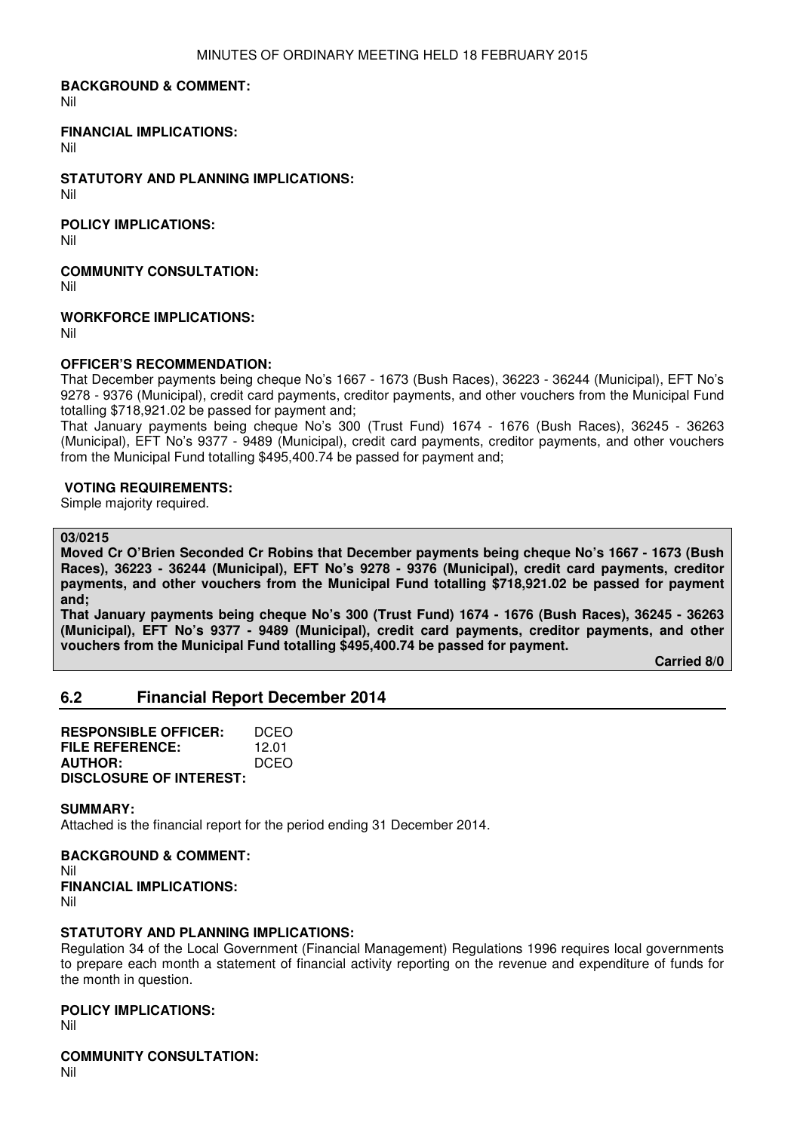#### **BACKGROUND & COMMENT:**

Nil

#### **FINANCIAL IMPLICATIONS:**

Nil

**STATUTORY AND PLANNING IMPLICATIONS:**  Nil

**POLICY IMPLICATIONS:** 

Nil

# **COMMUNITY CONSULTATION:**

Nil

**WORKFORCE IMPLICATIONS:** 

Nil

# **OFFICER'S RECOMMENDATION:**

That December payments being cheque No's 1667 - 1673 (Bush Races), 36223 - 36244 (Municipal), EFT No's 9278 - 9376 (Municipal), credit card payments, creditor payments, and other vouchers from the Municipal Fund totalling \$718,921.02 be passed for payment and;

That January payments being cheque No's 300 (Trust Fund) 1674 - 1676 (Bush Races), 36245 - 36263 (Municipal), EFT No's 9377 - 9489 (Municipal), credit card payments, creditor payments, and other vouchers from the Municipal Fund totalling \$495,400.74 be passed for payment and;

#### **VOTING REQUIREMENTS:**

Simple majority required.

#### **03/0215**

**Moved Cr O'Brien Seconded Cr Robins that December payments being cheque No's 1667 - 1673 (Bush Races), 36223 - 36244 (Municipal), EFT No's 9278 - 9376 (Municipal), credit card payments, creditor payments, and other vouchers from the Municipal Fund totalling \$718,921.02 be passed for payment and;** 

**That January payments being cheque No's 300 (Trust Fund) 1674 - 1676 (Bush Races), 36245 - 36263 (Municipal), EFT No's 9377 - 9489 (Municipal), credit card payments, creditor payments, and other vouchers from the Municipal Fund totalling \$495,400.74 be passed for payment.** 

 **Carried 8/0** 

# **6.2 Financial Report December 2014**

| <b>RESPONSIBLE OFFICER:</b>    | <b>DCEO</b> |
|--------------------------------|-------------|
| FILE REFERENCE:                | 12.01       |
| <b>AUTHOR:</b>                 | <b>DCEO</b> |
| <b>DISCLOSURE OF INTEREST:</b> |             |

#### **SUMMARY:**

Attached is the financial report for the period ending 31 December 2014.

**BACKGROUND & COMMENT:**  Nil **FINANCIAL IMPLICATIONS:**  Nil

# **STATUTORY AND PLANNING IMPLICATIONS:**

Regulation 34 of the Local Government (Financial Management) Regulations 1996 requires local governments to prepare each month a statement of financial activity reporting on the revenue and expenditure of funds for the month in question.

# **POLICY IMPLICATIONS:**

Nil

**COMMUNITY CONSULTATION:**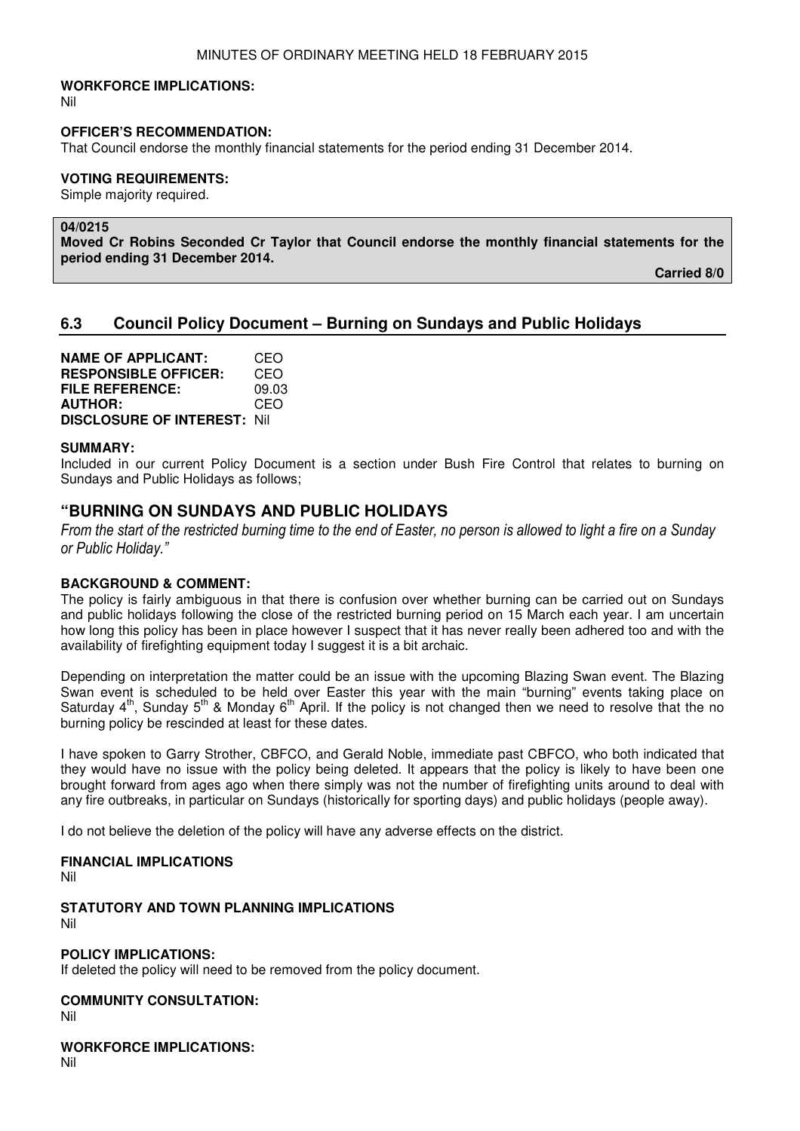#### **WORKFORCE IMPLICATIONS:**

Nil

#### **OFFICER'S RECOMMENDATION:**

That Council endorse the monthly financial statements for the period ending 31 December 2014.

#### **VOTING REQUIREMENTS:**

Simple majority required.

#### **04/0215**

**Moved Cr Robins Seconded Cr Taylor that Council endorse the monthly financial statements for the period ending 31 December 2014.** 

 **Carried 8/0** 

# **6.3 Council Policy Document – Burning on Sundays and Public Holidays**

**NAME OF APPLICANT:** CEO **RESPONSIBLE OFFICER:** CEO **FILE REFERENCE:** 09.03 **AUTHOR: DISCLOSURE OF INTEREST:** Nil

#### **SUMMARY:**

Included in our current Policy Document is a section under Bush Fire Control that relates to burning on Sundays and Public Holidays as follows;

# **"BURNING ON SUNDAYS AND PUBLIC HOLIDAYS**

From the start of the restricted burning time to the end of Easter, no person is allowed to light a fire on a Sunday or Public Holiday."

#### **BACKGROUND & COMMENT:**

The policy is fairly ambiguous in that there is confusion over whether burning can be carried out on Sundays and public holidays following the close of the restricted burning period on 15 March each year. I am uncertain how long this policy has been in place however I suspect that it has never really been adhered too and with the availability of firefighting equipment today I suggest it is a bit archaic.

Depending on interpretation the matter could be an issue with the upcoming Blazing Swan event. The Blazing Swan event is scheduled to be held over Easter this year with the main "burning" events taking place on Saturday  $4<sup>th</sup>$ , Sunday 5<sup>th</sup> & Monday 6<sup>th</sup> April. If the policy is not changed then we need to resolve that the no burning policy be rescinded at least for these dates.

I have spoken to Garry Strother, CBFCO, and Gerald Noble, immediate past CBFCO, who both indicated that they would have no issue with the policy being deleted. It appears that the policy is likely to have been one brought forward from ages ago when there simply was not the number of firefighting units around to deal with any fire outbreaks, in particular on Sundays (historically for sporting days) and public holidays (people away).

I do not believe the deletion of the policy will have any adverse effects on the district.

#### **FINANCIAL IMPLICATIONS**

Nil

**STATUTORY AND TOWN PLANNING IMPLICATIONS**  Nil

#### **POLICY IMPLICATIONS:**

If deleted the policy will need to be removed from the policy document.

#### **COMMUNITY CONSULTATION:**

Nil

#### **WORKFORCE IMPLICATIONS:**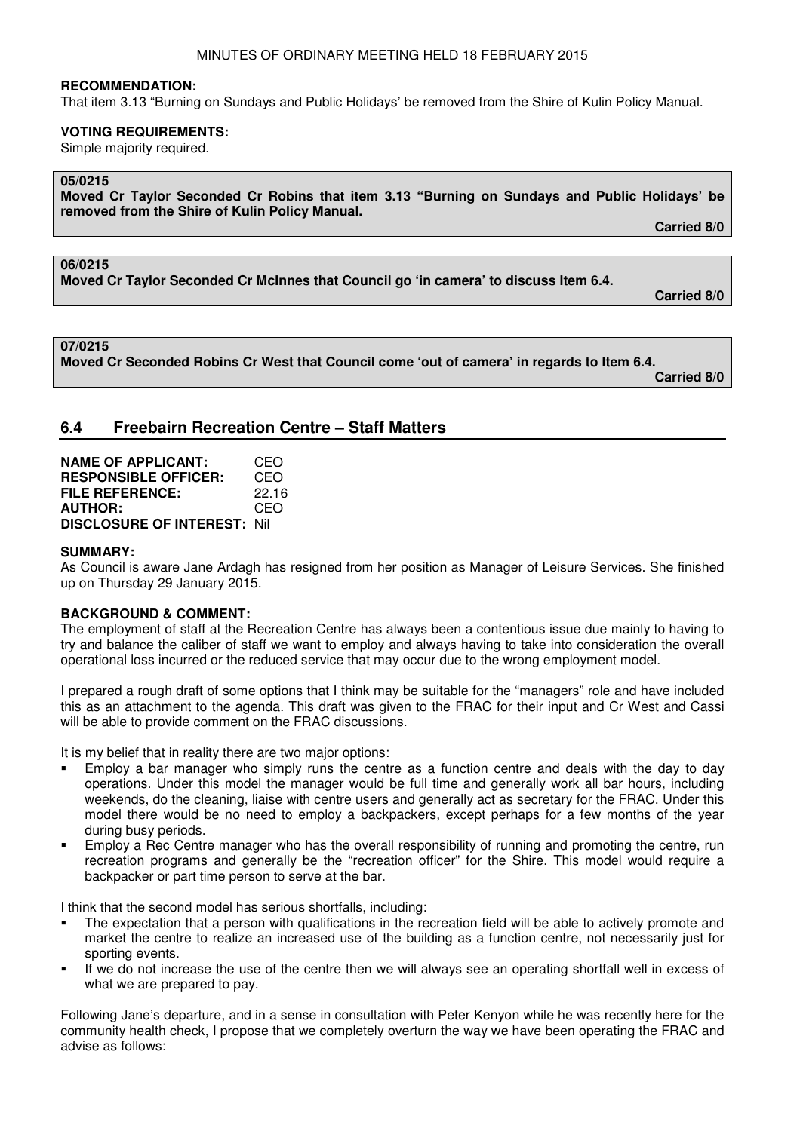That item 3.13 "Burning on Sundays and Public Holidays' be removed from the Shire of Kulin Policy Manual.

# **VOTING REQUIREMENTS:**

Simple majority required.

# **05/0215**

**Moved Cr Taylor Seconded Cr Robins that item 3.13 "Burning on Sundays and Public Holidays' be removed from the Shire of Kulin Policy Manual.** 

 **Carried 8/0** 

# **06/0215**

**Moved Cr Taylor Seconded Cr McInnes that Council go 'in camera' to discuss Item 6.4.** 

 **Carried 8/0**

**07/0215** 

**Moved Cr Seconded Robins Cr West that Council come 'out of camera' in regards to Item 6.4. Carried 8/0**

# **6.4 Freebairn Recreation Centre – Staff Matters**

| <b>NAME OF APPLICANT:</b>           | CEO   |
|-------------------------------------|-------|
| <b>RESPONSIBLE OFFICER:</b>         | CEO   |
| <b>FILE REFERENCE:</b>              | 22.16 |
| <b>AUTHOR:</b>                      | CEO   |
| <b>DISCLOSURE OF INTEREST: Nill</b> |       |

# **SUMMARY:**

As Council is aware Jane Ardagh has resigned from her position as Manager of Leisure Services. She finished up on Thursday 29 January 2015.

# **BACKGROUND & COMMENT:**

The employment of staff at the Recreation Centre has always been a contentious issue due mainly to having to try and balance the caliber of staff we want to employ and always having to take into consideration the overall operational loss incurred or the reduced service that may occur due to the wrong employment model.

I prepared a rough draft of some options that I think may be suitable for the "managers" role and have included this as an attachment to the agenda. This draft was given to the FRAC for their input and Cr West and Cassi will be able to provide comment on the FRAC discussions.

It is my belief that in reality there are two major options:

- Employ a bar manager who simply runs the centre as a function centre and deals with the day to day operations. Under this model the manager would be full time and generally work all bar hours, including weekends, do the cleaning, liaise with centre users and generally act as secretary for the FRAC. Under this model there would be no need to employ a backpackers, except perhaps for a few months of the year during busy periods.
- Employ a Rec Centre manager who has the overall responsibility of running and promoting the centre, run recreation programs and generally be the "recreation officer" for the Shire. This model would require a backpacker or part time person to serve at the bar.

I think that the second model has serious shortfalls, including:

- The expectation that a person with qualifications in the recreation field will be able to actively promote and market the centre to realize an increased use of the building as a function centre, not necessarily just for sporting events.
- If we do not increase the use of the centre then we will always see an operating shortfall well in excess of what we are prepared to pay.

Following Jane's departure, and in a sense in consultation with Peter Kenyon while he was recently here for the community health check, I propose that we completely overturn the way we have been operating the FRAC and advise as follows: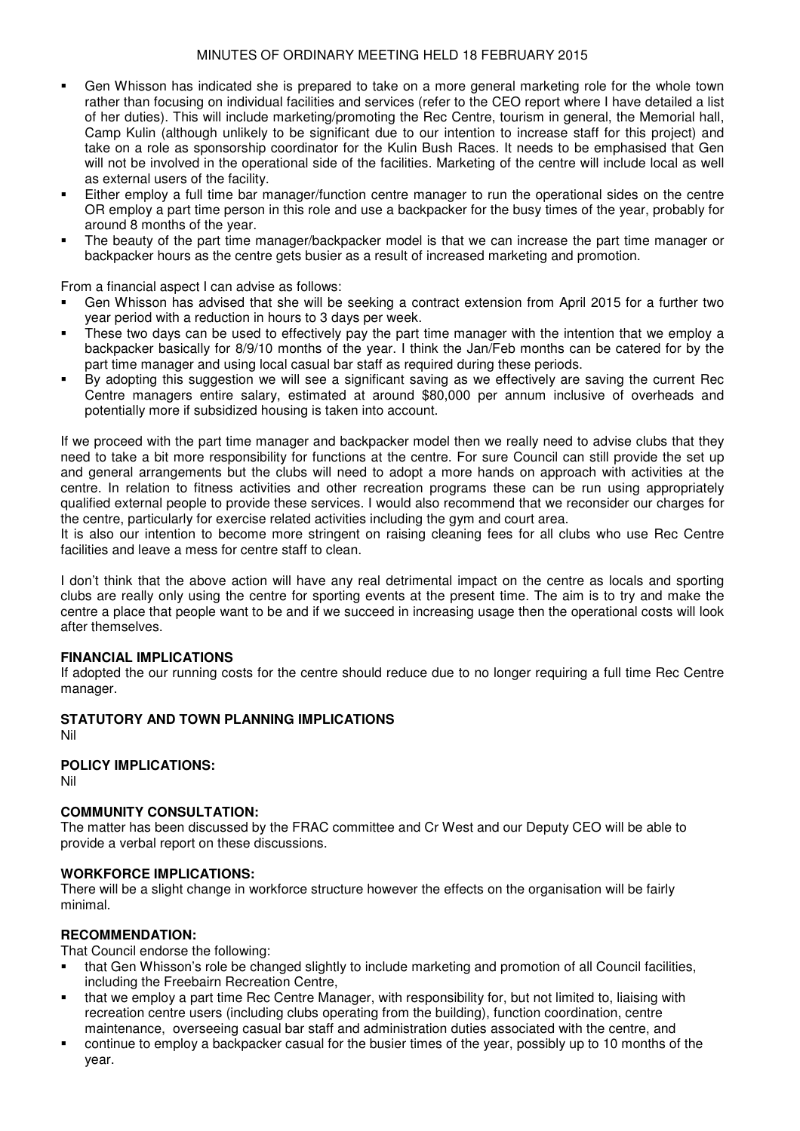# MINUTES OF ORDINARY MEETING HELD 18 FEBRUARY 2015

- Gen Whisson has indicated she is prepared to take on a more general marketing role for the whole town rather than focusing on individual facilities and services (refer to the CEO report where I have detailed a list of her duties). This will include marketing/promoting the Rec Centre, tourism in general, the Memorial hall, Camp Kulin (although unlikely to be significant due to our intention to increase staff for this project) and take on a role as sponsorship coordinator for the Kulin Bush Races. It needs to be emphasised that Gen will not be involved in the operational side of the facilities. Marketing of the centre will include local as well as external users of the facility.
- Either employ a full time bar manager/function centre manager to run the operational sides on the centre OR employ a part time person in this role and use a backpacker for the busy times of the year, probably for around 8 months of the year.
- The beauty of the part time manager/backpacker model is that we can increase the part time manager or backpacker hours as the centre gets busier as a result of increased marketing and promotion.

From a financial aspect I can advise as follows:

- Gen Whisson has advised that she will be seeking a contract extension from April 2015 for a further two year period with a reduction in hours to 3 days per week.
- These two days can be used to effectively pay the part time manager with the intention that we employ a backpacker basically for 8/9/10 months of the year. I think the Jan/Feb months can be catered for by the part time manager and using local casual bar staff as required during these periods.
- By adopting this suggestion we will see a significant saving as we effectively are saving the current Rec Centre managers entire salary, estimated at around \$80,000 per annum inclusive of overheads and potentially more if subsidized housing is taken into account.

If we proceed with the part time manager and backpacker model then we really need to advise clubs that they need to take a bit more responsibility for functions at the centre. For sure Council can still provide the set up and general arrangements but the clubs will need to adopt a more hands on approach with activities at the centre. In relation to fitness activities and other recreation programs these can be run using appropriately qualified external people to provide these services. I would also recommend that we reconsider our charges for the centre, particularly for exercise related activities including the gym and court area.

It is also our intention to become more stringent on raising cleaning fees for all clubs who use Rec Centre facilities and leave a mess for centre staff to clean.

I don't think that the above action will have any real detrimental impact on the centre as locals and sporting clubs are really only using the centre for sporting events at the present time. The aim is to try and make the centre a place that people want to be and if we succeed in increasing usage then the operational costs will look after themselves.

# **FINANCIAL IMPLICATIONS**

If adopted the our running costs for the centre should reduce due to no longer requiring a full time Rec Centre manager.

#### **STATUTORY AND TOWN PLANNING IMPLICATIONS**  Nil

# **POLICY IMPLICATIONS:**

Nil

# **COMMUNITY CONSULTATION:**

The matter has been discussed by the FRAC committee and Cr West and our Deputy CEO will be able to provide a verbal report on these discussions.

# **WORKFORCE IMPLICATIONS:**

There will be a slight change in workforce structure however the effects on the organisation will be fairly minimal.

# **RECOMMENDATION:**

That Council endorse the following:

- that Gen Whisson's role be changed slightly to include marketing and promotion of all Council facilities, including the Freebairn Recreation Centre,
- that we employ a part time Rec Centre Manager, with responsibility for, but not limited to, liaising with recreation centre users (including clubs operating from the building), function coordination, centre maintenance, overseeing casual bar staff and administration duties associated with the centre, and
- continue to employ a backpacker casual for the busier times of the year, possibly up to 10 months of the year.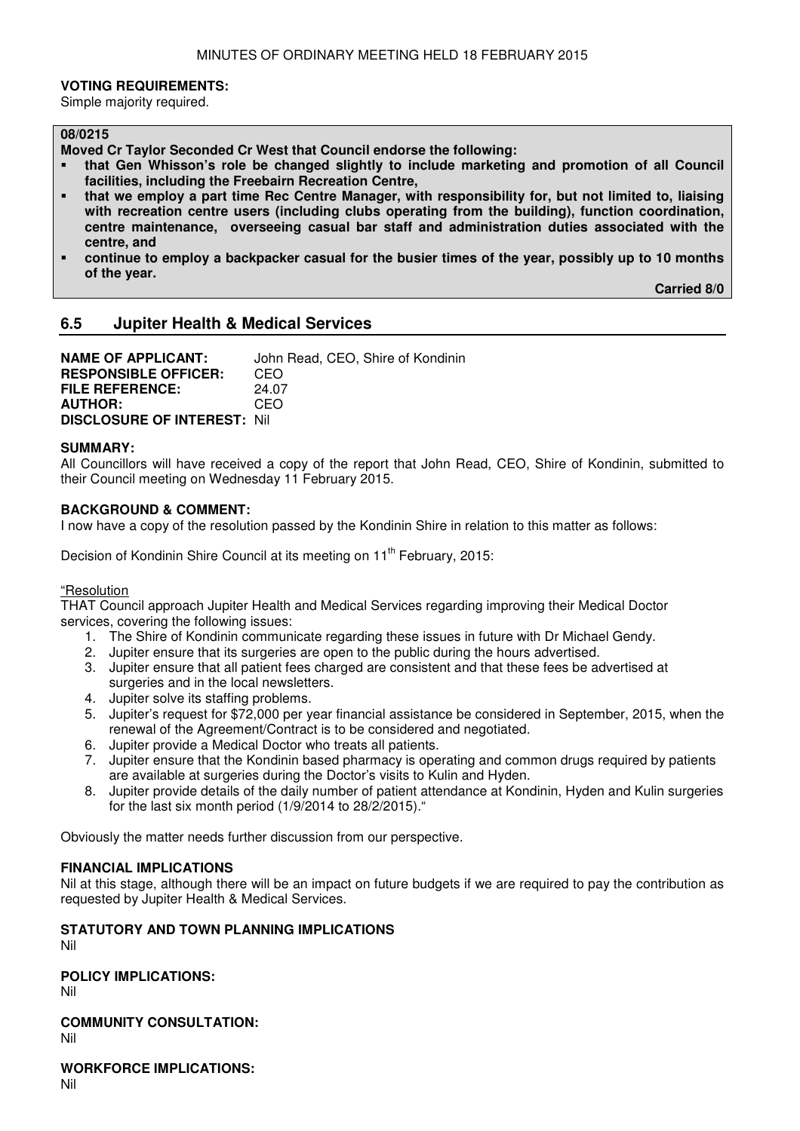#### **VOTING REQUIREMENTS:**

Simple majority required.

#### **08/0215**

**Moved Cr Taylor Seconded Cr West that Council endorse the following:** 

- **that Gen Whisson's role be changed slightly to include marketing and promotion of all Council facilities, including the Freebairn Recreation Centre,**
- **that we employ a part time Rec Centre Manager, with responsibility for, but not limited to, liaising with recreation centre users (including clubs operating from the building), function coordination, centre maintenance, overseeing casual bar staff and administration duties associated with the centre, and**
- **continue to employ a backpacker casual for the busier times of the year, possibly up to 10 months of the year.**

 **Carried 8/0** 

# **6.5 Jupiter Health & Medical Services**

**NAME OF APPLICANT:** John Read, CEO, Shire of Kondinin **RESPONSIBLE OFFICER:** CEO **FILE REFERENCE:** 24.07<br>**AUTHOR:** CEO **AUTHOR: DISCLOSURE OF INTEREST:** Nil

#### **SUMMARY:**

All Councillors will have received a copy of the report that John Read, CEO, Shire of Kondinin, submitted to their Council meeting on Wednesday 11 February 2015.

#### **BACKGROUND & COMMENT:**

I now have a copy of the resolution passed by the Kondinin Shire in relation to this matter as follows:

Decision of Kondinin Shire Council at its meeting on 11<sup>th</sup> February, 2015:

#### "Resolution

THAT Council approach Jupiter Health and Medical Services regarding improving their Medical Doctor services, covering the following issues:

- 1. The Shire of Kondinin communicate regarding these issues in future with Dr Michael Gendy.
- 2. Jupiter ensure that its surgeries are open to the public during the hours advertised.
- 3. Jupiter ensure that all patient fees charged are consistent and that these fees be advertised at surgeries and in the local newsletters.
- 4. Jupiter solve its staffing problems.
- 5. Jupiter's request for \$72,000 per year financial assistance be considered in September, 2015, when the renewal of the Agreement/Contract is to be considered and negotiated.
- 6. Jupiter provide a Medical Doctor who treats all patients.
- 7. Jupiter ensure that the Kondinin based pharmacy is operating and common drugs required by patients are available at surgeries during the Doctor's visits to Kulin and Hyden.
- 8. Jupiter provide details of the daily number of patient attendance at Kondinin, Hyden and Kulin surgeries for the last six month period (1/9/2014 to 28/2/2015)."

Obviously the matter needs further discussion from our perspective.

#### **FINANCIAL IMPLICATIONS**

Nil at this stage, although there will be an impact on future budgets if we are required to pay the contribution as requested by Jupiter Health & Medical Services.

# **STATUTORY AND TOWN PLANNING IMPLICATIONS**

Nil

**POLICY IMPLICATIONS:**

Nil

**COMMUNITY CONSULTATION:**

Nil

**WORKFORCE IMPLICATIONS:** Nil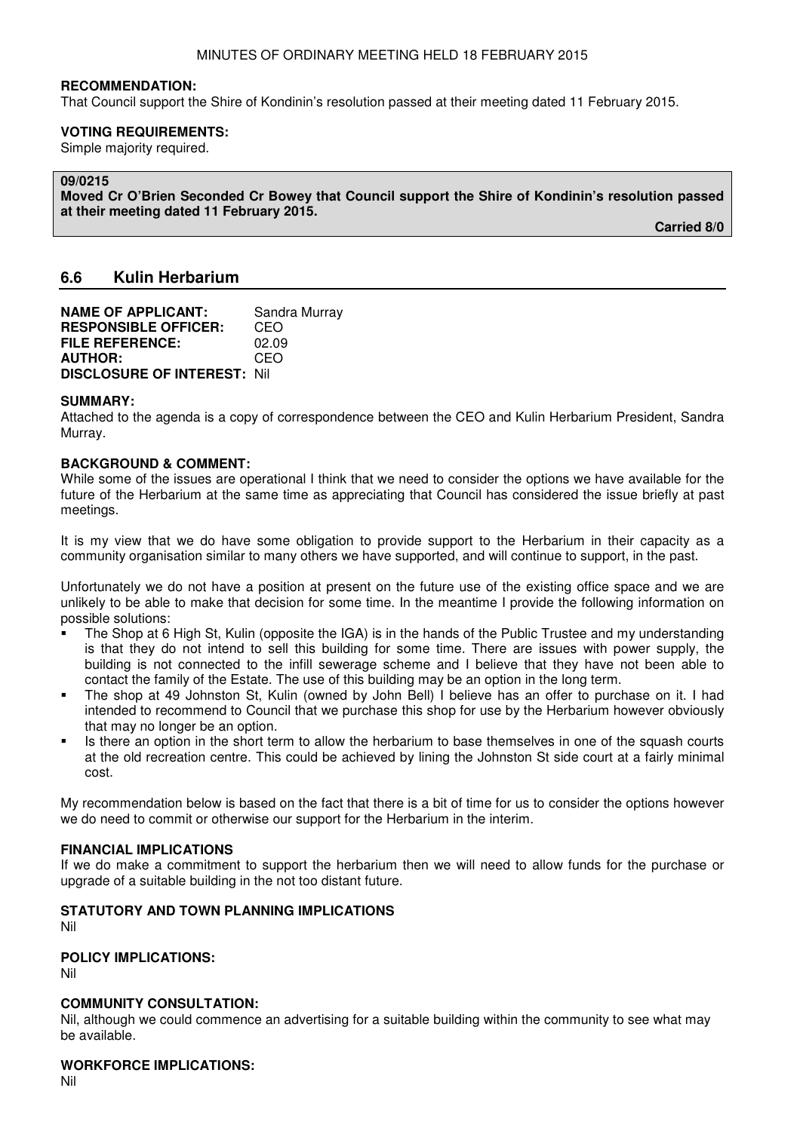That Council support the Shire of Kondinin's resolution passed at their meeting dated 11 February 2015.

#### **VOTING REQUIREMENTS:**

Simple majority required.

#### **09/0215**

**Moved Cr O'Brien Seconded Cr Bowey that Council support the Shire of Kondinin's resolution passed at their meeting dated 11 February 2015.** 

 **Carried 8/0** 

# **6.6 Kulin Herbarium**

| <b>NAME OF APPLICANT:</b>          | Sandra Murray |
|------------------------------------|---------------|
| <b>RESPONSIBLE OFFICER:</b>        | CEO           |
| <b>FILE REFERENCE:</b>             | 02.09         |
| <b>AUTHOR:</b>                     | CEO           |
| <b>DISCLOSURE OF INTEREST: Nil</b> |               |

#### **SUMMARY:**

Attached to the agenda is a copy of correspondence between the CEO and Kulin Herbarium President, Sandra Murray.

#### **BACKGROUND & COMMENT:**

While some of the issues are operational I think that we need to consider the options we have available for the future of the Herbarium at the same time as appreciating that Council has considered the issue briefly at past meetings.

It is my view that we do have some obligation to provide support to the Herbarium in their capacity as a community organisation similar to many others we have supported, and will continue to support, in the past.

Unfortunately we do not have a position at present on the future use of the existing office space and we are unlikely to be able to make that decision for some time. In the meantime I provide the following information on possible solutions:

- The Shop at 6 High St, Kulin (opposite the IGA) is in the hands of the Public Trustee and my understanding is that they do not intend to sell this building for some time. There are issues with power supply, the building is not connected to the infill sewerage scheme and I believe that they have not been able to contact the family of the Estate. The use of this building may be an option in the long term.
- The shop at 49 Johnston St, Kulin (owned by John Bell) I believe has an offer to purchase on it. I had intended to recommend to Council that we purchase this shop for use by the Herbarium however obviously that may no longer be an option.
- Is there an option in the short term to allow the herbarium to base themselves in one of the squash courts at the old recreation centre. This could be achieved by lining the Johnston St side court at a fairly minimal cost.

My recommendation below is based on the fact that there is a bit of time for us to consider the options however we do need to commit or otherwise our support for the Herbarium in the interim.

#### **FINANCIAL IMPLICATIONS**

If we do make a commitment to support the herbarium then we will need to allow funds for the purchase or upgrade of a suitable building in the not too distant future.

#### **STATUTORY AND TOWN PLANNING IMPLICATIONS**  Nil

#### **POLICY IMPLICATIONS:**

Nil

# **COMMUNITY CONSULTATION:**

Nil, although we could commence an advertising for a suitable building within the community to see what may be available.

# **WORKFORCE IMPLICATIONS:**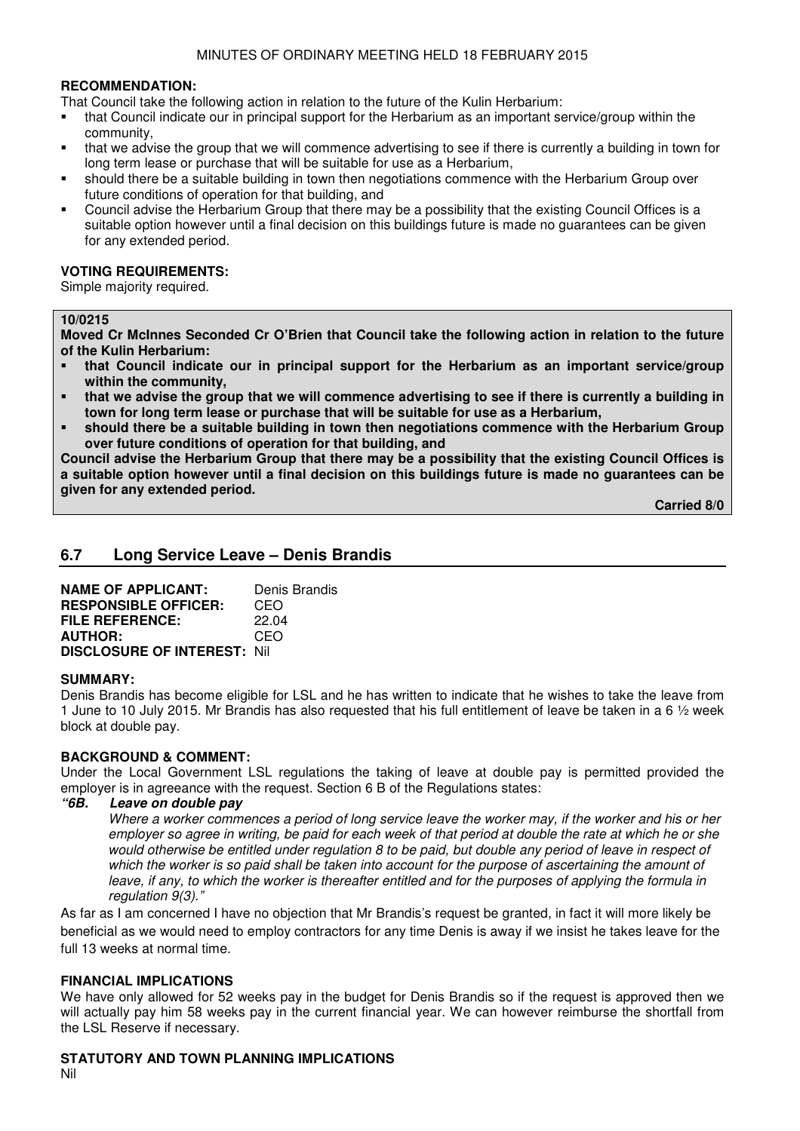That Council take the following action in relation to the future of the Kulin Herbarium:

- that Council indicate our in principal support for the Herbarium as an important service/group within the community,
- that we advise the group that we will commence advertising to see if there is currently a building in town for long term lease or purchase that will be suitable for use as a Herbarium,
- should there be a suitable building in town then negotiations commence with the Herbarium Group over future conditions of operation for that building, and
- Council advise the Herbarium Group that there may be a possibility that the existing Council Offices is a suitable option however until a final decision on this buildings future is made no guarantees can be given for any extended period.

# **VOTING REQUIREMENTS:**

Simple majority required.

#### **10/0215**

**Moved Cr McInnes Seconded Cr O'Brien that Council take the following action in relation to the future of the Kulin Herbarium:** 

- **that Council indicate our in principal support for the Herbarium as an important service/group within the community,**
- **that we advise the group that we will commence advertising to see if there is currently a building in town for long term lease or purchase that will be suitable for use as a Herbarium,**
- **should there be a suitable building in town then negotiations commence with the Herbarium Group over future conditions of operation for that building, and**

**Council advise the Herbarium Group that there may be a possibility that the existing Council Offices is a suitable option however until a final decision on this buildings future is made no guarantees can be given for any extended period.** 

 **Carried 8/0** 

# **6.7 Long Service Leave – Denis Brandis**

| <b>NAME OF APPLICANT:</b>           | Denis Brandis |
|-------------------------------------|---------------|
| <b>RESPONSIBLE OFFICER:</b>         | CEO           |
| <b>FILE REFERENCE:</b>              | 22.04         |
| <b>AUTHOR:</b>                      | CEO           |
| <b>DISCLOSURE OF INTEREST: Nill</b> |               |

#### **SUMMARY:**

Denis Brandis has become eligible for LSL and he has written to indicate that he wishes to take the leave from 1 June to 10 July 2015. Mr Brandis has also requested that his full entitlement of leave be taken in a 6 ½ week block at double pay.

# **BACKGROUND & COMMENT:**

Under the Local Government LSL regulations the taking of leave at double pay is permitted provided the employer is in agreeance with the request. Section 6 B of the Regulations states:<br>"6B. Leave on double pav

### Leave on double pay

 Where a worker commences a period of long service leave the worker may, if the worker and his or her employer so agree in writing, be paid for each week of that period at double the rate at which he or she would otherwise be entitled under regulation 8 to be paid, but double any period of leave in respect of which the worker is so paid shall be taken into account for the purpose of ascertaining the amount of leave, if any, to which the worker is thereafter entitled and for the purposes of applying the formula in regulation 9(3)."

As far as I am concerned I have no objection that Mr Brandis's request be granted, in fact it will more likely be beneficial as we would need to employ contractors for any time Denis is away if we insist he takes leave for the full 13 weeks at normal time.

# **FINANCIAL IMPLICATIONS**

We have only allowed for 52 weeks pay in the budget for Denis Brandis so if the request is approved then we will actually pay him 58 weeks pay in the current financial year. We can however reimburse the shortfall from the LSL Reserve if necessary.

# **STATUTORY AND TOWN PLANNING IMPLICATIONS**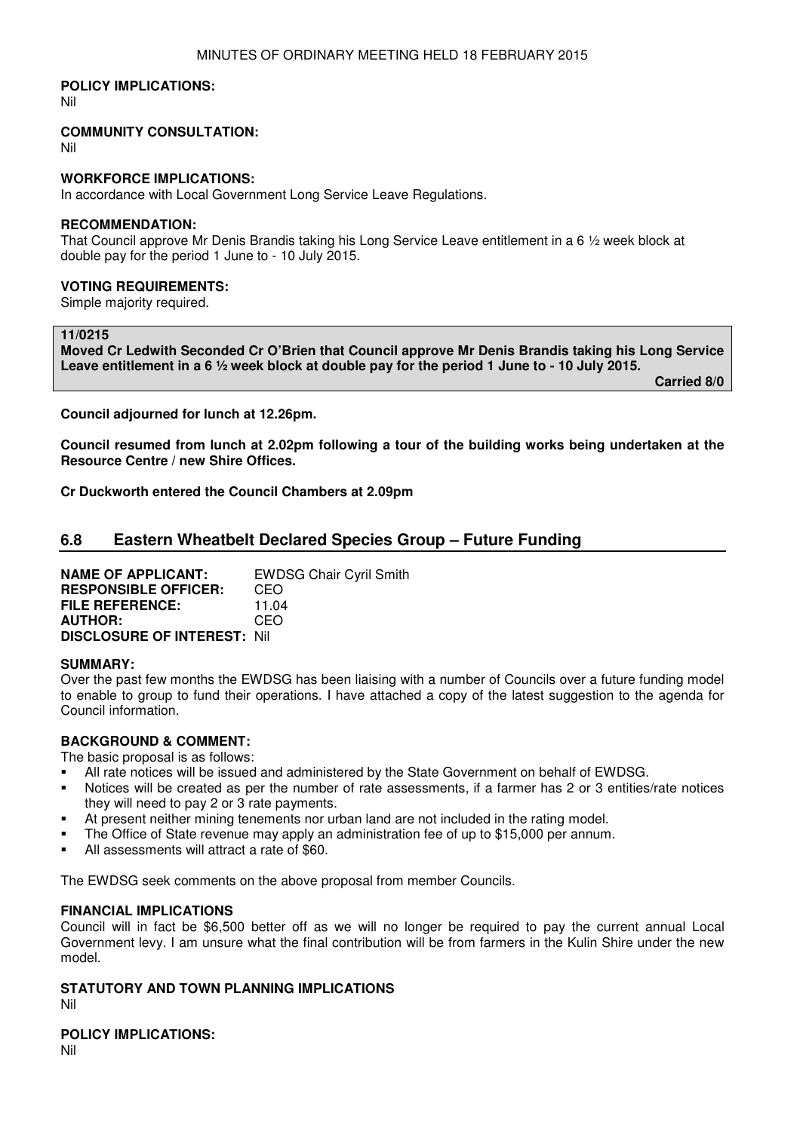#### **POLICY IMPLICATIONS:**

Nil

#### **COMMUNITY CONSULTATION:**

Nil

#### **WORKFORCE IMPLICATIONS:**

In accordance with Local Government Long Service Leave Regulations.

#### **RECOMMENDATION:**

That Council approve Mr Denis Brandis taking his Long Service Leave entitlement in a 6 ½ week block at double pay for the period 1 June to - 10 July 2015.

# **VOTING REQUIREMENTS:**

Simple majority required.

#### **11/0215**

**Moved Cr Ledwith Seconded Cr O'Brien that Council approve Mr Denis Brandis taking his Long Service Leave entitlement in a 6 ½ week block at double pay for the period 1 June to - 10 July 2015.** 

 **Carried 8/0** 

**Council adjourned for lunch at 12.26pm.** 

**Council resumed from lunch at 2.02pm following a tour of the building works being undertaken at the Resource Centre / new Shire Offices.** 

**Cr Duckworth entered the Council Chambers at 2.09pm**

# **6.8 Eastern Wheatbelt Declared Species Group – Future Funding**

**NAME OF APPLICANT:** EWDSG Chair Cyril Smith **RESPONSIBLE OFFICER:** CEO **FILE REFERENCE:** 11.04 **AUTHOR:** CEO **DISCLOSURE OF INTEREST:** Nil

#### **SUMMARY:**

Over the past few months the EWDSG has been liaising with a number of Councils over a future funding model to enable to group to fund their operations. I have attached a copy of the latest suggestion to the agenda for Council information.

# **BACKGROUND & COMMENT:**

The basic proposal is as follows:

- All rate notices will be issued and administered by the State Government on behalf of EWDSG.
- Notices will be created as per the number of rate assessments, if a farmer has 2 or 3 entities/rate notices they will need to pay 2 or 3 rate payments.
- At present neither mining tenements nor urban land are not included in the rating model.
- The Office of State revenue may apply an administration fee of up to \$15,000 per annum.
- All assessments will attract a rate of \$60.

The EWDSG seek comments on the above proposal from member Councils.

#### **FINANCIAL IMPLICATIONS**

Council will in fact be \$6,500 better off as we will no longer be required to pay the current annual Local Government levy. I am unsure what the final contribution will be from farmers in the Kulin Shire under the new model.

# **STATUTORY AND TOWN PLANNING IMPLICATIONS**

Nil

**POLICY IMPLICATIONS:**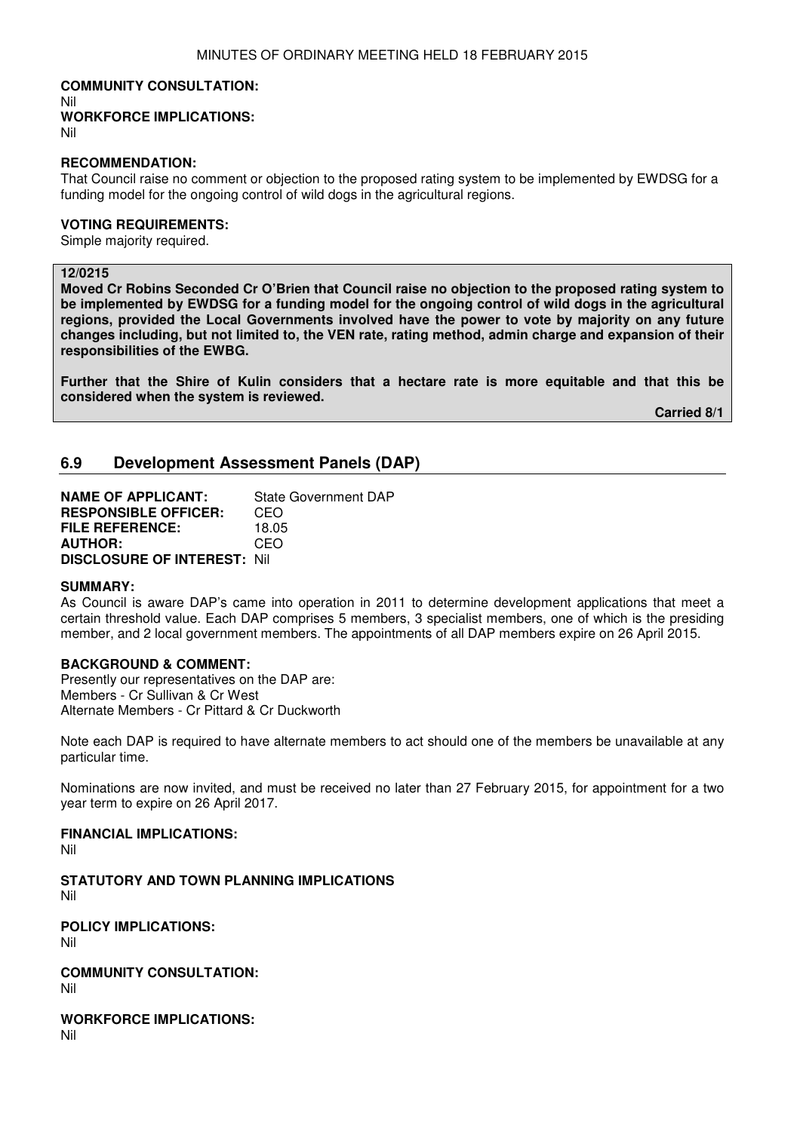# **COMMUNITY CONSULTATION:** Nil

**WORKFORCE IMPLICATIONS:**

Nil

#### **RECOMMENDATION:**

That Council raise no comment or objection to the proposed rating system to be implemented by EWDSG for a funding model for the ongoing control of wild dogs in the agricultural regions.

# **VOTING REQUIREMENTS:**

Simple majority required.

# **12/0215**

**Moved Cr Robins Seconded Cr O'Brien that Council raise no objection to the proposed rating system to be implemented by EWDSG for a funding model for the ongoing control of wild dogs in the agricultural regions, provided the Local Governments involved have the power to vote by majority on any future changes including, but not limited to, the VEN rate, rating method, admin charge and expansion of their responsibilities of the EWBG.** 

**Further that the Shire of Kulin considers that a hectare rate is more equitable and that this be considered when the system is reviewed.** 

 **Carried 8/1**

# **6.9 Development Assessment Panels (DAP)**

**NAME OF APPLICANT:** State Government DAP **RESPONSIBLE OFFICER:** CEO **FILE REFERENCE:** 18.05 **AUTHOR:** CEO **DISCLOSURE OF INTEREST:** Nil

#### **SUMMARY:**

As Council is aware DAP's came into operation in 2011 to determine development applications that meet a certain threshold value. Each DAP comprises 5 members, 3 specialist members, one of which is the presiding member, and 2 local government members. The appointments of all DAP members expire on 26 April 2015.

# **BACKGROUND & COMMENT:**

Presently our representatives on the DAP are: Members - Cr Sullivan & Cr West Alternate Members - Cr Pittard & Cr Duckworth

Note each DAP is required to have alternate members to act should one of the members be unavailable at any particular time.

Nominations are now invited, and must be received no later than 27 February 2015, for appointment for a two year term to expire on 26 April 2017.

# **FINANCIAL IMPLICATIONS:**

Nil

**STATUTORY AND TOWN PLANNING IMPLICATIONS**  Nil

**POLICY IMPLICATIONS:** Nil

**COMMUNITY CONSULTATION:** Nil

**WORKFORCE IMPLICATIONS:** Nil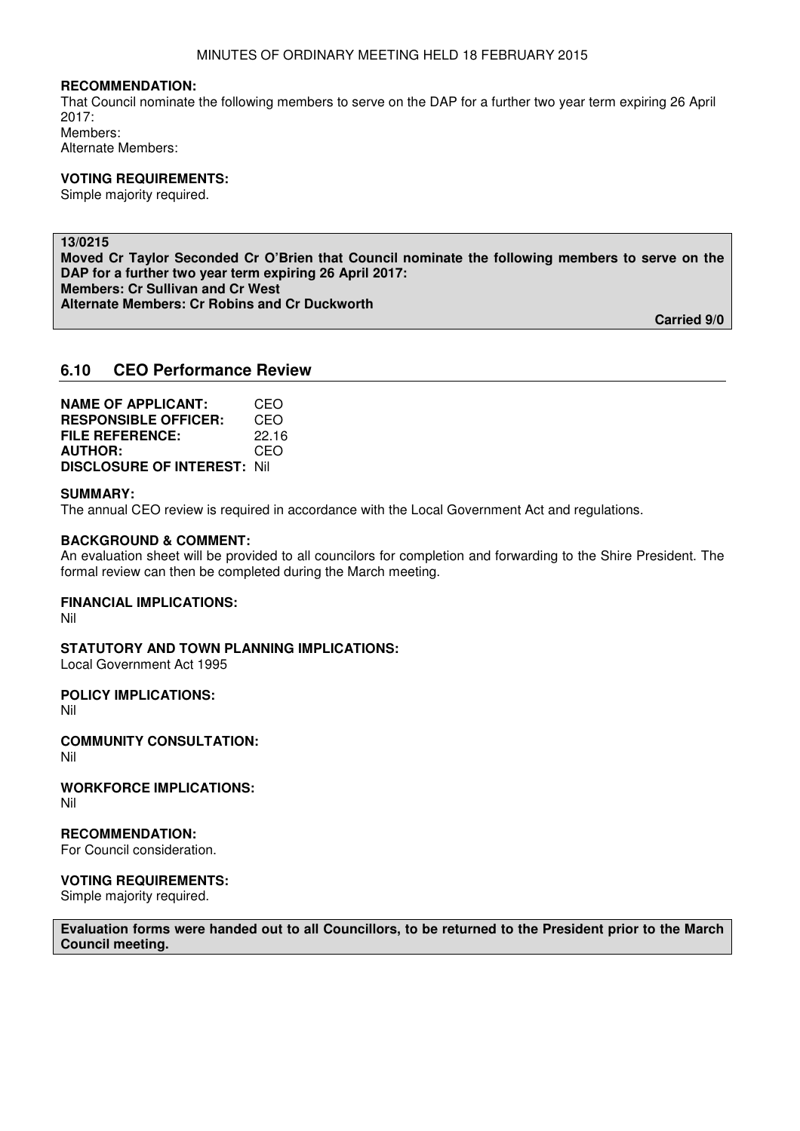That Council nominate the following members to serve on the DAP for a further two year term expiring 26 April 2017: Members: Alternate Members:

#### **VOTING REQUIREMENTS:**

Simple majority required.

# **13/0215**

**Moved Cr Taylor Seconded Cr O'Brien that Council nominate the following members to serve on the DAP for a further two year term expiring 26 April 2017: Members: Cr Sullivan and Cr West Alternate Members: Cr Robins and Cr Duckworth** 

 **Carried 9/0** 

# **6.10 CEO Performance Review**

| <b>NAME OF APPLICANT:</b>          | CEO   |
|------------------------------------|-------|
| <b>RESPONSIBLE OFFICER:</b>        | CEO   |
| <b>FILE REFERENCE:</b>             | 22.16 |
| <b>AUTHOR:</b>                     | CEO   |
| <b>DISCLOSURE OF INTEREST: Nil</b> |       |

#### **SUMMARY:**

The annual CEO review is required in accordance with the Local Government Act and regulations.

#### **BACKGROUND & COMMENT:**

An evaluation sheet will be provided to all councilors for completion and forwarding to the Shire President. The formal review can then be completed during the March meeting.

# **FINANCIAL IMPLICATIONS:**

Nil

**STATUTORY AND TOWN PLANNING IMPLICATIONS:**  Local Government Act 1995

#### **POLICY IMPLICATIONS:**

Nil

**COMMUNITY CONSULTATION:** Nil

**WORKFORCE IMPLICATIONS:** Nil

### **RECOMMENDATION:**

For Council consideration.

#### **VOTING REQUIREMENTS:**

Simple majority required.

**Evaluation forms were handed out to all Councillors, to be returned to the President prior to the March Council meeting.**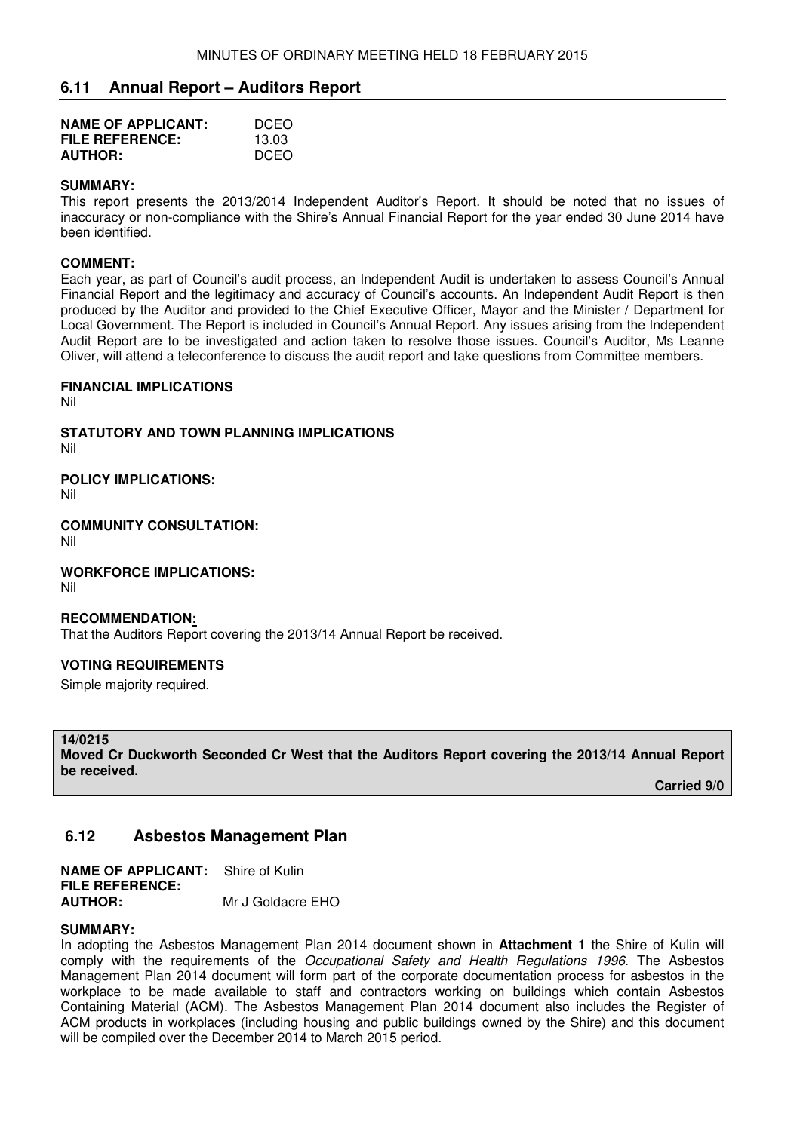# **6.11 Annual Report – Auditors Report**

| <b>NAME OF APPLICANT:</b> | DCEO  |
|---------------------------|-------|
| <b>FILE REFERENCE:</b>    | 13.03 |
| <b>AUTHOR:</b>            | DCEO  |

#### **SUMMARY:**

This report presents the 2013/2014 Independent Auditor's Report. It should be noted that no issues of inaccuracy or non-compliance with the Shire's Annual Financial Report for the year ended 30 June 2014 have been identified.

### **COMMENT:**

Each year, as part of Council's audit process, an Independent Audit is undertaken to assess Council's Annual Financial Report and the legitimacy and accuracy of Council's accounts. An Independent Audit Report is then produced by the Auditor and provided to the Chief Executive Officer, Mayor and the Minister / Department for Local Government. The Report is included in Council's Annual Report. Any issues arising from the Independent Audit Report are to be investigated and action taken to resolve those issues. Council's Auditor, Ms Leanne Oliver, will attend a teleconference to discuss the audit report and take questions from Committee members.

#### **FINANCIAL IMPLICATIONS**

Nil

**STATUTORY AND TOWN PLANNING IMPLICATIONS**  Nil

**POLICY IMPLICATIONS:**

Nil

**COMMUNITY CONSULTATION:** Nil

**WORKFORCE IMPLICATIONS:** Nil

#### **RECOMMENDATION:**

That the Auditors Report covering the 2013/14 Annual Report be received.

# **VOTING REQUIREMENTS**

Simple majority required.

#### **14/0215**

**Moved Cr Duckworth Seconded Cr West that the Auditors Report covering the 2013/14 Annual Report be received.** 

 **Carried 9/0** 

# **6.12 Asbestos Management Plan**

**NAME OF APPLICANT:** Shire of Kulin **FILE REFERENCE: AUTHOR:** Mr J Goldacre EHO

#### **SUMMARY:**

In adopting the Asbestos Management Plan 2014 document shown in **Attachment 1** the Shire of Kulin will comply with the requirements of the Occupational Safety and Health Regulations 1996. The Asbestos Management Plan 2014 document will form part of the corporate documentation process for asbestos in the workplace to be made available to staff and contractors working on buildings which contain Asbestos Containing Material (ACM). The Asbestos Management Plan 2014 document also includes the Register of ACM products in workplaces (including housing and public buildings owned by the Shire) and this document will be compiled over the December 2014 to March 2015 period.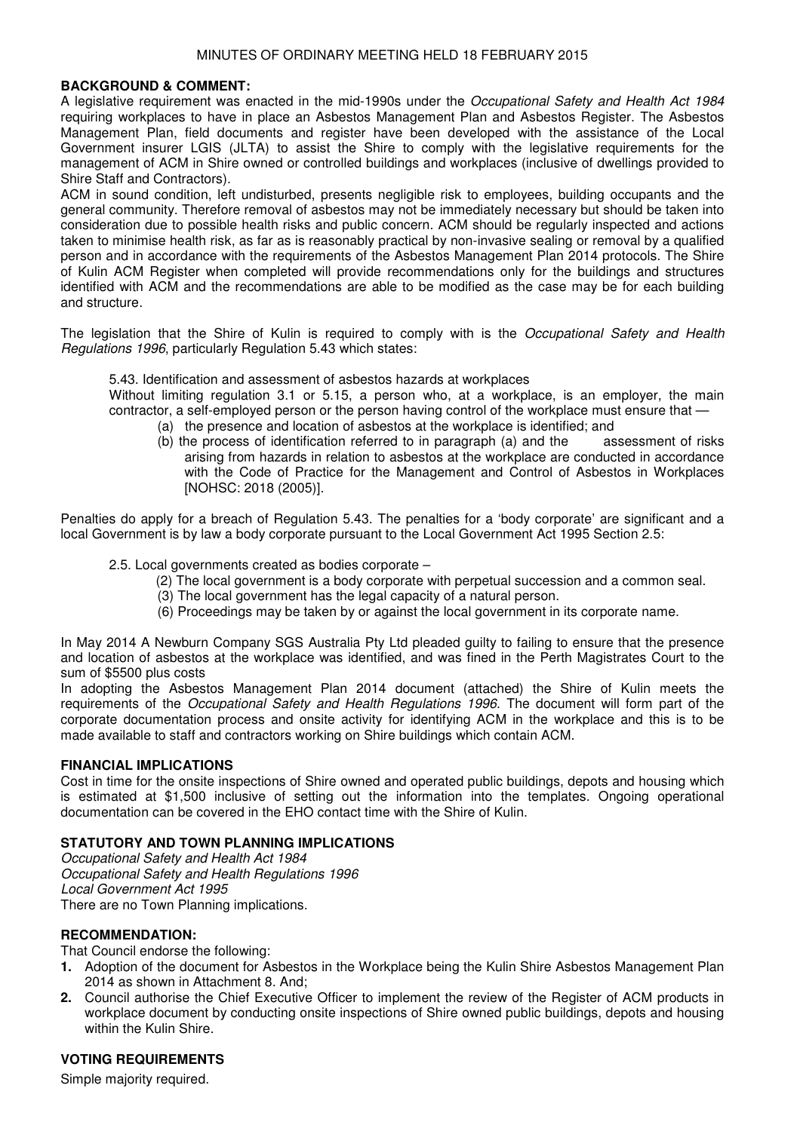### **BACKGROUND & COMMENT:**

A legislative requirement was enacted in the mid-1990s under the Occupational Safety and Health Act 1984 requiring workplaces to have in place an Asbestos Management Plan and Asbestos Register. The Asbestos Management Plan, field documents and register have been developed with the assistance of the Local Government insurer LGIS (JLTA) to assist the Shire to comply with the legislative requirements for the management of ACM in Shire owned or controlled buildings and workplaces (inclusive of dwellings provided to Shire Staff and Contractors).

ACM in sound condition, left undisturbed, presents negligible risk to employees, building occupants and the general community. Therefore removal of asbestos may not be immediately necessary but should be taken into consideration due to possible health risks and public concern. ACM should be regularly inspected and actions taken to minimise health risk, as far as is reasonably practical by non-invasive sealing or removal by a qualified person and in accordance with the requirements of the Asbestos Management Plan 2014 protocols. The Shire of Kulin ACM Register when completed will provide recommendations only for the buildings and structures identified with ACM and the recommendations are able to be modified as the case may be for each building and structure.

The legislation that the Shire of Kulin is required to comply with is the Occupational Safety and Health Regulations 1996, particularly Regulation 5.43 which states:

5.43. Identification and assessment of asbestos hazards at workplaces

Without limiting regulation 3.1 or 5.15, a person who, at a workplace, is an employer, the main contractor, a self-employed person or the person having control of the workplace must ensure that —

- (a) the presence and location of asbestos at the workplace is identified; and
- (b) the process of identification referred to in paragraph (a) and the assessment of risks arising from hazards in relation to asbestos at the workplace are conducted in accordance with the Code of Practice for the Management and Control of Asbestos in Workplaces [NOHSC: 2018 (2005)].

Penalties do apply for a breach of Regulation 5.43. The penalties for a 'body corporate' are significant and a local Government is by law a body corporate pursuant to the Local Government Act 1995 Section 2.5:

- 2.5. Local governments created as bodies corporate
	- (2) The local government is a body corporate with perpetual succession and a common seal.
	- (3) The local government has the legal capacity of a natural person.
	- (6) Proceedings may be taken by or against the local government in its corporate name.

In May 2014 A Newburn Company SGS Australia Pty Ltd pleaded guilty to failing to ensure that the presence and location of asbestos at the workplace was identified, and was fined in the Perth Magistrates Court to the sum of \$5500 plus costs

In adopting the Asbestos Management Plan 2014 document (attached) the Shire of Kulin meets the requirements of the Occupational Safety and Health Regulations 1996. The document will form part of the corporate documentation process and onsite activity for identifying ACM in the workplace and this is to be made available to staff and contractors working on Shire buildings which contain ACM.

# **FINANCIAL IMPLICATIONS**

Cost in time for the onsite inspections of Shire owned and operated public buildings, depots and housing which is estimated at \$1,500 inclusive of setting out the information into the templates. Ongoing operational documentation can be covered in the EHO contact time with the Shire of Kulin.

# **STATUTORY AND TOWN PLANNING IMPLICATIONS**

Occupational Safety and Health Act 1984 Occupational Safety and Health Regulations 1996 Local Government Act 1995 There are no Town Planning implications.

# **RECOMMENDATION:**

That Council endorse the following:

- **1.** Adoption of the document for Asbestos in the Workplace being the Kulin Shire Asbestos Management Plan 2014 as shown in Attachment 8. And;
- **2.** Council authorise the Chief Executive Officer to implement the review of the Register of ACM products in workplace document by conducting onsite inspections of Shire owned public buildings, depots and housing within the Kulin Shire.

# **VOTING REQUIREMENTS**

Simple majority required.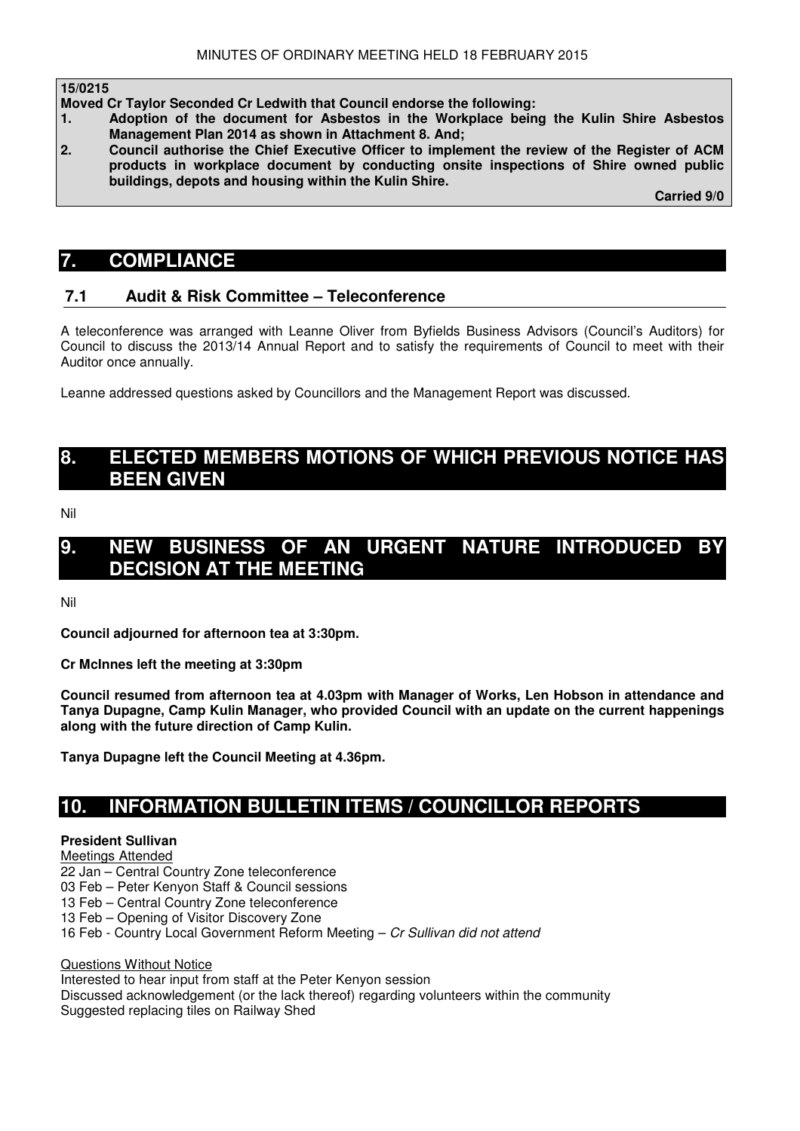#### **15/0215**

ֺ

**Moved Cr Taylor Seconded Cr Ledwith that Council endorse the following:** 

- **1. Adoption of the document for Asbestos in the Workplace being the Kulin Shire Asbestos Management Plan 2014 as shown in Attachment 8. And;**
- **2. Council authorise the Chief Executive Officer to implement the review of the Register of ACM products in workplace document by conducting onsite inspections of Shire owned public buildings, depots and housing within the Kulin Shire.**

 **Carried 9/0** 

# **7. COMPLIANCE**

# **7.1 Audit & Risk Committee – Teleconference**

A teleconference was arranged with Leanne Oliver from Byfields Business Advisors (Council's Auditors) for Council to discuss the 2013/14 Annual Report and to satisfy the requirements of Council to meet with their Auditor once annually.

Leanne addressed questions asked by Councillors and the Management Report was discussed.

# **8. ELECTED MEMBERS MOTIONS OF WHICH PREVIOUS NOTICE HAS BEEN GIVEN**

Nil

# **9. NEW BUSINESS OF AN URGENT NATURE INTRODUCED BY DECISION AT THE MEETING**

Nil

**Council adjourned for afternoon tea at 3:30pm.** 

**Cr McInnes left the meeting at 3:30pm** 

**Council resumed from afternoon tea at 4.03pm with Manager of Works, Len Hobson in attendance and Tanya Dupagne, Camp Kulin Manager, who provided Council with an update on the current happenings along with the future direction of Camp Kulin.** 

**Tanya Dupagne left the Council Meeting at 4.36pm.** 

# **10. INFORMATION BULLETIN ITEMS / COUNCILLOR REPORTS**

# **President Sullivan**

# Meetings Attended

- 22 Jan Central Country Zone teleconference
- 03 Feb Peter Kenyon Staff & Council sessions
- 13 Feb Central Country Zone teleconference
- 13 Feb Opening of Visitor Discovery Zone

16 Feb - Country Local Government Reform Meeting – Cr Sullivan did not attend

Questions Without Notice

Interested to hear input from staff at the Peter Kenyon session

Discussed acknowledgement (or the lack thereof) regarding volunteers within the community Suggested replacing tiles on Railway Shed